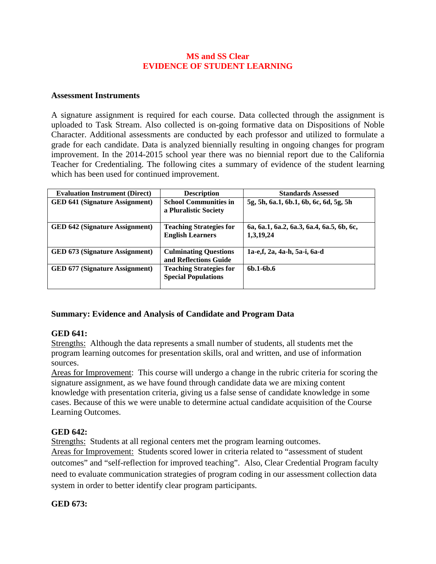### **MS and SS Clear EVIDENCE OF STUDENT LEARNING**

#### **Assessment Instruments**

A signature assignment is required for each course. Data collected through the assignment is uploaded to Task Stream. Also collected is on-going formative data on Dispositions of Noble Character. Additional assessments are conducted by each professor and utilized to formulate a grade for each candidate. Data is analyzed biennially resulting in ongoing changes for program improvement. In the 2014-2015 school year there was no biennial report due to the California Teacher for Credentialing. The following cites a summary of evidence of the student learning which has been used for continued improvement.

| <b>Evaluation Instrument (Direct)</b> | <b>Description</b>                                           | <b>Standards Assessed</b>                              |
|---------------------------------------|--------------------------------------------------------------|--------------------------------------------------------|
| <b>GED 641 (Signature Assignment)</b> | <b>School Communities in</b><br>a Pluralistic Society        | 5g, 5h, 6a.1, 6b.1, 6b, 6c, 6d, 5g, 5h                 |
| <b>GED 642 (Signature Assignment)</b> | <b>Teaching Strategies for</b><br><b>English Learners</b>    | 6a, 6a.1, 6a.2, 6a.3, 6a.4, 6a.5, 6b, 6c,<br>1,3,19,24 |
| <b>GED 673 (Signature Assignment)</b> | <b>Culminating Questions</b><br>and Reflections Guide        | 1a-e,f, 2a, 4a-h, 5a-i, 6a-d                           |
| <b>GED 677 (Signature Assignment)</b> | <b>Teaching Strategies for</b><br><b>Special Populations</b> | $6b.1 - 6b.6$                                          |

# **Summary: Evidence and Analysis of Candidate and Program Data**

### **GED 641:**

Strengths: Although the data represents a small number of students, all students met the program learning outcomes for presentation skills, oral and written, and use of information sources.

Areas for Improvement: This course will undergo a change in the rubric criteria for scoring the signature assignment, as we have found through candidate data we are mixing content knowledge with presentation criteria, giving us a false sense of candidate knowledge in some cases. Because of this we were unable to determine actual candidate acquisition of the Course Learning Outcomes.

### **GED 642:**

Strengths: Students at all regional centers met the program learning outcomes.

Areas for Improvement: Students scored lower in criteria related to "assessment of student outcomes" and "self-reflection for improved teaching". Also, Clear Credential Program faculty need to evaluate communication strategies of program coding in our assessment collection data system in order to better identify clear program participants.

# **GED 673:**